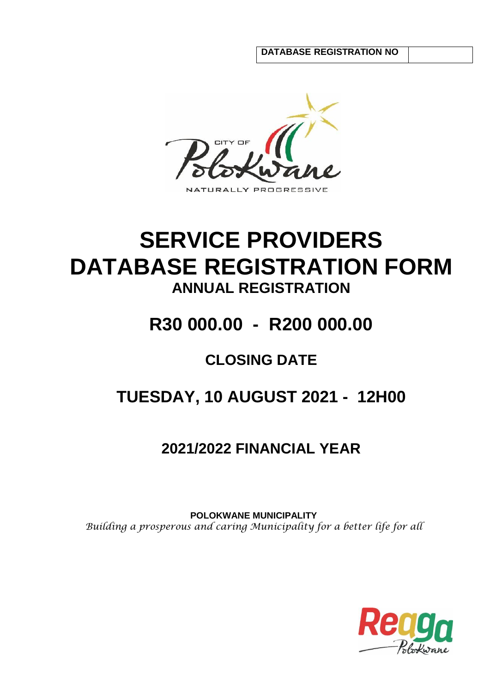**DATABASE REGISTRATION NO**



# **SERVICE PROVIDERS DATABASE REGISTRATION FORM ANNUAL REGISTRATION**

# **R30 000.00 - R200 000.00**

## **CLOSING DATE**

# **TUESDAY, 10 AUGUST 2021 - 12H00**

## **2021/2022 FINANCIAL YEAR**

**POLOKWANE MUNICIPALITY** *Building a prosperous and caring Municipality for a better life for all*

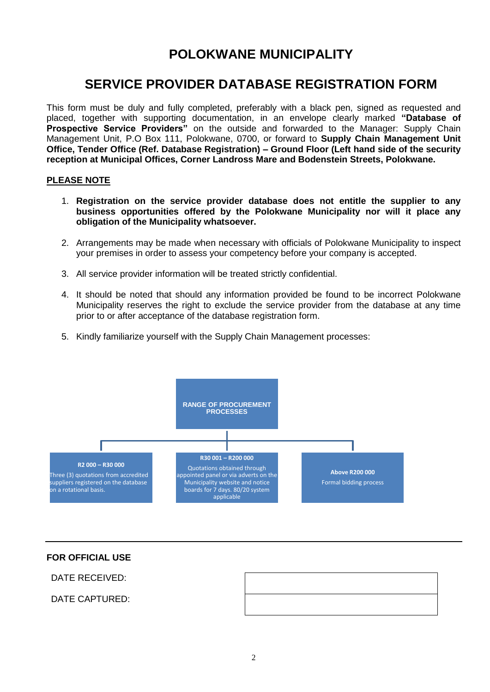## **POLOKWANE MUNICIPALITY**

## **SERVICE PROVIDER DATABASE REGISTRATION FORM**

This form must be duly and fully completed, preferably with a black pen, signed as requested and placed, together with supporting documentation, in an envelope clearly marked **"Database of Prospective Service Providers"** on the outside and forwarded to the Manager: Supply Chain Management Unit, P.O Box 111, Polokwane, 0700, or forward to **Supply Chain Management Unit Office, Tender Office (Ref. Database Registration) – Ground Floor (Left hand side of the security reception at Municipal Offices, Corner Landross Mare and Bodenstein Streets, Polokwane.**

#### **PLEASE NOTE**

- 1. **Registration on the service provider database does not entitle the supplier to any business opportunities offered by the Polokwane Municipality nor will it place any obligation of the Municipality whatsoever.**
- 2. Arrangements may be made when necessary with officials of Polokwane Municipality to inspect your premises in order to assess your competency before your company is accepted.
- 3. All service provider information will be treated strictly confidential.
- 4. It should be noted that should any information provided be found to be incorrect Polokwane Municipality reserves the right to exclude the service provider from the database at any time prior to or after acceptance of the database registration form.
- 5. Kindly familiarize yourself with the Supply Chain Management processes:



#### **FOR OFFICIAL USE**

DATE RECEIVED:

DATE CAPTURED: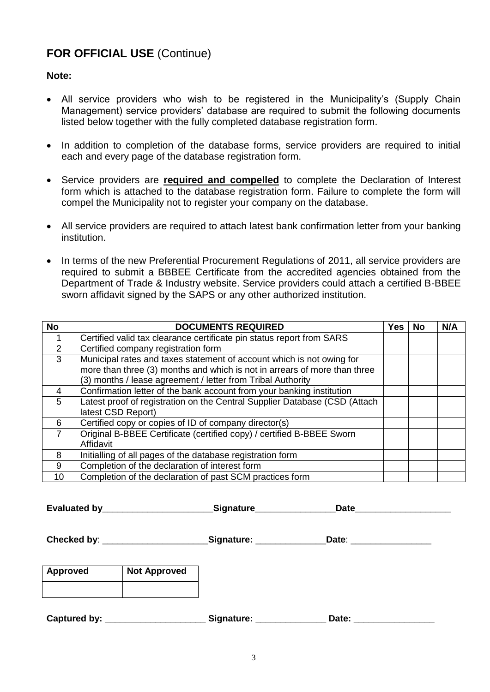### **FOR OFFICIAL USE** (Continue)

#### **Note:**

- All service providers who wish to be registered in the Municipality's (Supply Chain Management) service providers' database are required to submit the following documents listed below together with the fully completed database registration form.
- In addition to completion of the database forms, service providers are required to initial each and every page of the database registration form.
- Service providers are **required and compelled** to complete the Declaration of Interest form which is attached to the database registration form. Failure to complete the form will compel the Municipality not to register your company on the database.
- All service providers are required to attach latest bank confirmation letter from your banking institution.
- In terms of the new Preferential Procurement Regulations of 2011, all service providers are required to submit a BBBEE Certificate from the accredited agencies obtained from the Department of Trade & Industry website. Service providers could attach a certified B-BBEE sworn affidavit signed by the SAPS or any other authorized institution.

| <b>No</b>       | <b>DOCUMENTS REQUIRED</b>                                                  | <b>Yes</b> | <b>No</b> | N/A |
|-----------------|----------------------------------------------------------------------------|------------|-----------|-----|
|                 | Certified valid tax clearance certificate pin status report from SARS      |            |           |     |
| $\mathcal{P}$   | Certified company registration form                                        |            |           |     |
| 3               | Municipal rates and taxes statement of account which is not owing for      |            |           |     |
|                 | more than three (3) months and which is not in arrears of more than three  |            |           |     |
|                 | (3) months / lease agreement / letter from Tribal Authority                |            |           |     |
| 4               | Confirmation letter of the bank account from your banking institution      |            |           |     |
| 5               | Latest proof of registration on the Central Supplier Database (CSD (Attach |            |           |     |
|                 | latest CSD Report)                                                         |            |           |     |
| 6               | Certified copy or copies of ID of company director(s)                      |            |           |     |
| $\overline{7}$  | Original B-BBEE Certificate (certified copy) / certified B-BBEE Sworn      |            |           |     |
|                 | Affidavit                                                                  |            |           |     |
| 8               | Initialling of all pages of the database registration form                 |            |           |     |
| 9               | Completion of the declaration of interest form                             |            |           |     |
| 10 <sup>1</sup> | Completion of the declaration of past SCM practices form                   |            |           |     |

**Evaluated by\_\_\_\_\_\_\_\_\_\_\_\_\_\_\_\_\_\_\_\_\_\_\_\_\_\_\_\_Signature\_\_\_\_\_\_\_\_\_\_\_\_\_\_\_\_\_\_Date\_\_\_\_\_\_\_\_\_** 

**Checked by**: \_\_\_\_\_\_\_\_\_\_\_\_\_\_\_\_\_\_\_\_\_**Signature:** \_\_\_\_\_\_\_\_\_\_\_\_\_\_**Date**: \_\_\_\_\_\_\_\_\_\_\_\_\_\_\_\_

| <b>Approved</b> | <b>Not Approved</b> |  |
|-----------------|---------------------|--|
|                 |                     |  |

**Captured by:** \_\_\_\_\_\_\_\_\_\_\_\_\_\_\_\_\_\_\_\_ **Signature:** \_\_\_\_\_\_\_\_\_\_\_\_\_\_ **Date:** \_\_\_\_\_\_\_\_\_\_\_\_\_\_\_\_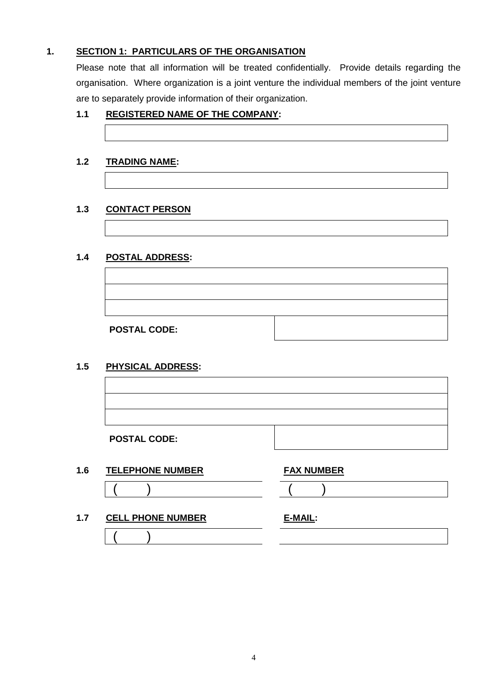#### **1. SECTION 1: PARTICULARS OF THE ORGANISATION**

Please note that all information will be treated confidentially. Provide details regarding the organisation. Where organization is a joint venture the individual members of the joint venture are to separately provide information of their organization.

#### **1.1 REGISTERED NAME OF THE COMPANY:**

#### **1.2 TRADING NAME:**

#### **1.3 CONTACT PERSON**

#### **1.4 POSTAL ADDRESS:**

**POSTAL CODE:**

#### **1.5 PHYSICAL ADDRESS:**

| <b>POSTAL CODE:</b> |  |
|---------------------|--|

#### **1.6 TELEPHONE NUMBER FAX NUMBER**

#### **1.7 CELL PHONE NUMBER**

 $($  )

| E-MAIL: |  |
|---------|--|
|         |  |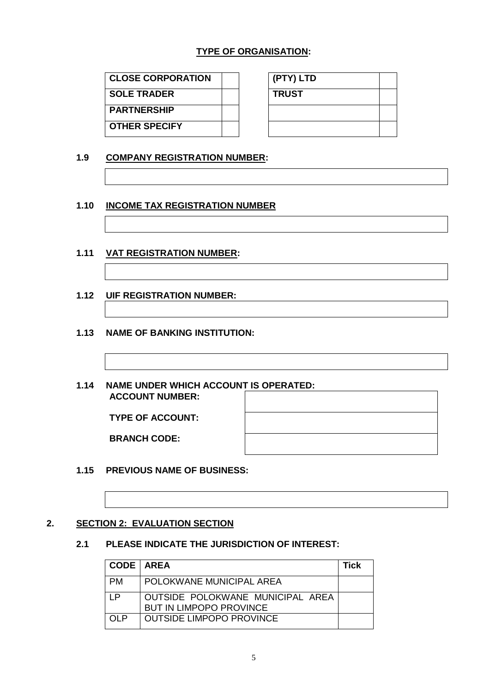#### **TYPE OF ORGANISATION:**

| <b>CLOSE CORPORATION</b> |  | (PTY) LTD    |
|--------------------------|--|--------------|
| <b>SOLE TRADER</b>       |  | <b>TRUST</b> |
| <b>PARTNERSHIP</b>       |  |              |
| <b>OTHER SPECIFY</b>     |  |              |

| (PTY) LTD    |  |
|--------------|--|
| <b>TRUST</b> |  |
|              |  |
|              |  |

#### **1.9 COMPANY REGISTRATION NUMBER:**

#### **1.10 INCOME TAX REGISTRATION NUMBER**

#### **1.11 VAT REGISTRATION NUMBER:**

**1.12 UIF REGISTRATION NUMBER:**

#### **1.13 NAME OF BANKING INSTITUTION:**

#### **1.14 NAME UNDER WHICH ACCOUNT IS OPERATED: ACCOUNT NUMBER:**

**TYPE OF ACCOUNT:**

**BRANCH CODE:** 

#### **1.15 PREVIOUS NAME OF BUSINESS:**

#### **2. SECTION 2: EVALUATION SECTION**

#### **2.1 PLEASE INDICATE THE JURISDICTION OF INTEREST:**

| <b>CODE   AREA</b> |                                                                    | <b>Tick</b> |
|--------------------|--------------------------------------------------------------------|-------------|
| <b>PM</b>          | POLOKWANE MUNICIPAL AREA                                           |             |
| I P                | OUTSIDE POLOKWANE MUNICIPAL AREA<br><b>BUT IN LIMPOPO PROVINCE</b> |             |
| OL P               | <b>OUTSIDE LIMPOPO PROVINCE</b>                                    |             |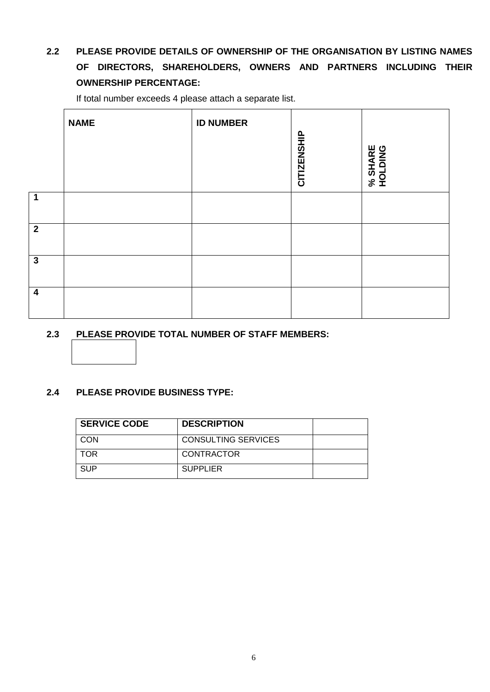### **2.2 PLEASE PROVIDE DETAILS OF OWNERSHIP OF THE ORGANISATION BY LISTING NAMES OF DIRECTORS, SHAREHOLDERS, OWNERS AND PARTNERS INCLUDING THEIR OWNERSHIP PERCENTAGE:**

If total number exceeds 4 please attach a separate list.

|                         | <b>NAME</b> | <b>ID NUMBER</b> | <b>CITIZENSHIP</b> | % SHARE<br>HOLDING |
|-------------------------|-------------|------------------|--------------------|--------------------|
| $\overline{\mathbf{1}}$ |             |                  |                    |                    |
| $\overline{2}$          |             |                  |                    |                    |
| 3 <sup>2</sup>          |             |                  |                    |                    |
| $\boldsymbol{4}$        |             |                  |                    |                    |

#### **2.3 PLEASE PROVIDE TOTAL NUMBER OF STAFF MEMBERS:**

#### **2.4 PLEASE PROVIDE BUSINESS TYPE:**

| <b>SERVICE CODE</b> | <b>DESCRIPTION</b>         |  |
|---------------------|----------------------------|--|
| CON                 | <b>CONSULTING SERVICES</b> |  |
| <b>TOR</b>          | CONTRACTOR                 |  |
| <b>SUP</b>          | <b>SUPPLIER</b>            |  |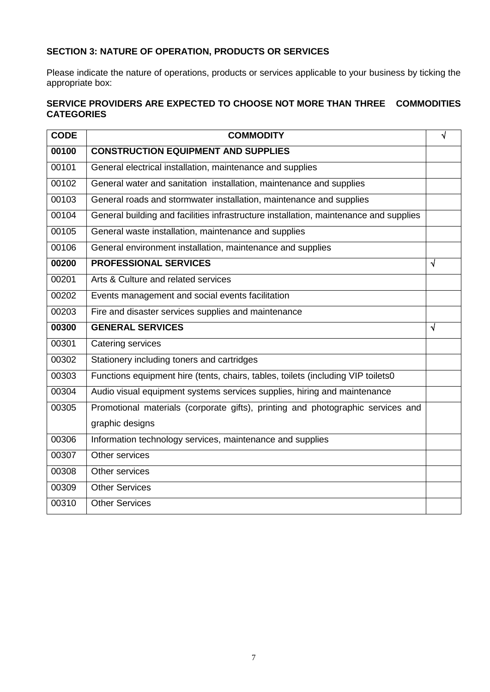### **SECTION 3: NATURE OF OPERATION, PRODUCTS OR SERVICES**

Please indicate the nature of operations, products or services applicable to your business by ticking the appropriate box:

#### **SERVICE PROVIDERS ARE EXPECTED TO CHOOSE NOT MORE THAN THREE COMMODITIES CATEGORIES**

| <b>CODE</b> | <b>COMMODITY</b>                                                                      | √          |
|-------------|---------------------------------------------------------------------------------------|------------|
| 00100       | <b>CONSTRUCTION EQUIPMENT AND SUPPLIES</b>                                            |            |
| 00101       | General electrical installation, maintenance and supplies                             |            |
| 00102       | General water and sanitation installation, maintenance and supplies                   |            |
| 00103       | General roads and stormwater installation, maintenance and supplies                   |            |
| 00104       | General building and facilities infrastructure installation, maintenance and supplies |            |
| 00105       | General waste installation, maintenance and supplies                                  |            |
| 00106       | General environment installation, maintenance and supplies                            |            |
| 00200       | <b>PROFESSIONAL SERVICES</b>                                                          | $\sqrt{ }$ |
| 00201       | Arts & Culture and related services                                                   |            |
| 00202       | Events management and social events facilitation                                      |            |
| 00203       | Fire and disaster services supplies and maintenance                                   |            |
| 00300       | <b>GENERAL SERVICES</b>                                                               | $\sqrt{ }$ |
| 00301       | Catering services                                                                     |            |
| 00302       | Stationery including toners and cartridges                                            |            |
| 00303       | Functions equipment hire (tents, chairs, tables, toilets (including VIP toilets0      |            |
| 00304       | Audio visual equipment systems services supplies, hiring and maintenance              |            |
| 00305       | Promotional materials (corporate gifts), printing and photographic services and       |            |
|             | graphic designs                                                                       |            |
| 00306       | Information technology services, maintenance and supplies                             |            |
| 00307       | Other services                                                                        |            |
| 00308       | Other services                                                                        |            |
| 00309       | <b>Other Services</b>                                                                 |            |
| 00310       | <b>Other Services</b>                                                                 |            |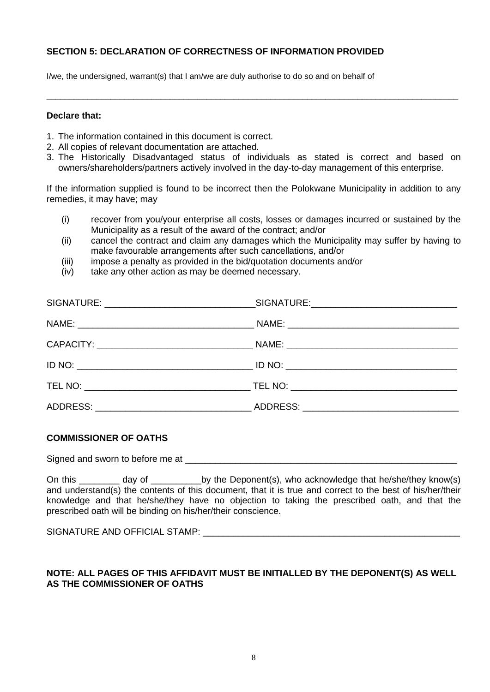#### **SECTION 5: DECLARATION OF CORRECTNESS OF INFORMATION PROVIDED**

I/we, the undersigned, warrant(s) that I am/we are duly authorise to do so and on behalf of

#### **Declare that:**

- 1. The information contained in this document is correct.
- 2. All copies of relevant documentation are attached.
- 3. The Historically Disadvantaged status of individuals as stated is correct and based on owners/shareholders/partners actively involved in the day-to-day management of this enterprise.

\_\_\_\_\_\_\_\_\_\_\_\_\_\_\_\_\_\_\_\_\_\_\_\_\_\_\_\_\_\_\_\_\_\_\_\_\_\_\_\_\_\_\_\_\_\_\_\_\_\_\_\_\_\_\_\_\_\_\_\_\_\_\_\_\_\_\_\_\_\_\_\_\_\_\_\_\_\_\_\_\_\_\_\_\_\_\_\_\_\_

If the information supplied is found to be incorrect then the Polokwane Municipality in addition to any remedies, it may have; may

- (i) recover from you/your enterprise all costs, losses or damages incurred or sustained by the Municipality as a result of the award of the contract; and/or
- (ii) cancel the contract and claim any damages which the Municipality may suffer by having to make favourable arrangements after such cancellations, and/or
- (iii) impose a penalty as provided in the bid/quotation documents and/or
- (iv) take any other action as may be deemed necessary.

#### **COMMISSIONER OF OATHS**

Signed and sworn to before me at  $\Box$ 

On this \_\_\_\_\_\_\_ day of \_\_\_\_\_\_\_\_\_\_\_by the Deponent(s), who acknowledge that he/she/they know(s) and understand(s) the contents of this document, that it is true and correct to the best of his/her/their knowledge and that he/she/they have no objection to taking the prescribed oath, and that the prescribed oath will be binding on his/her/their conscience.

SIGNATURE AND OFFICIAL STAMP: \_\_\_\_\_\_\_\_\_\_\_\_\_\_\_\_\_\_\_\_\_\_\_\_\_\_\_\_\_\_\_\_\_\_\_\_\_\_\_\_\_\_\_\_\_\_\_\_\_\_\_

#### **NOTE: ALL PAGES OF THIS AFFIDAVIT MUST BE INITIALLED BY THE DEPONENT(S) AS WELL AS THE COMMISSIONER OF OATHS**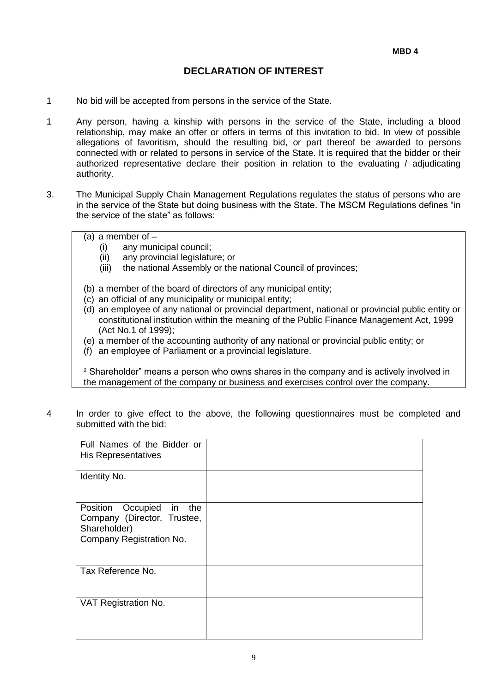#### **DECLARATION OF INTEREST**

- 1 No bid will be accepted from persons in the service of the State.
- 1 Any person, having a kinship with persons in the service of the State, including a blood relationship, may make an offer or offers in terms of this invitation to bid. In view of possible allegations of favoritism, should the resulting bid, or part thereof be awarded to persons connected with or related to persons in service of the State. It is required that the bidder or their authorized representative declare their position in relation to the evaluating / adjudicating authority.
- 3. The Municipal Supply Chain Management Regulations regulates the status of persons who are in the service of the State but doing business with the State. The MSCM Regulations defines "in the service of the state" as follows:

 $(a)$  a member of  $-$ 

- (i) any municipal council;
- (ii) any provincial legislature; or
- (iii) the national Assembly or the national Council of provinces;
- (b) a member of the board of directors of any municipal entity;
- (c) an official of any municipality or municipal entity;
- (d) an employee of any national or provincial department, national or provincial public entity or constitutional institution within the meaning of the Public Finance Management Act, 1999 (Act No.1 of 1999);
- (e) a member of the accounting authority of any national or provincial public entity; or
- (f) an employee of Parliament or a provincial legislature.

² Shareholder" means a person who owns shares in the company and is actively involved in the management of the company or business and exercises control over the company.

4 In order to give effect to the above, the following questionnaires must be completed and submitted with the bid:

| Full Names of the Bidder or<br>His Representatives                               |  |
|----------------------------------------------------------------------------------|--|
| Identity No.                                                                     |  |
| Occupied<br>Position<br>in<br>the<br>Company (Director, Trustee,<br>Shareholder) |  |
| Company Registration No.                                                         |  |
| Tax Reference No.                                                                |  |
| VAT Registration No.                                                             |  |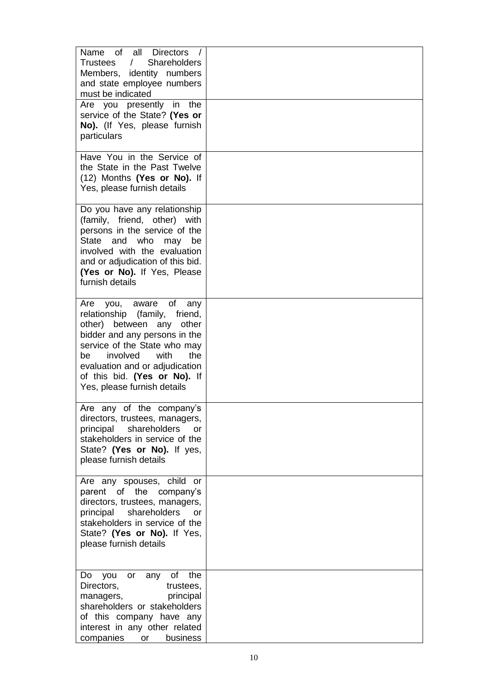| Name of all Directors /<br>$\sqrt{2}$<br><b>Shareholders</b><br>Trustees<br>Members, identity numbers<br>and state employee numbers<br>must be indicated<br>Are you presently in the<br>service of the State? (Yes or<br>No). (If Yes, please furnish<br>particulars                         |  |
|----------------------------------------------------------------------------------------------------------------------------------------------------------------------------------------------------------------------------------------------------------------------------------------------|--|
| Have You in the Service of<br>the State in the Past Twelve<br>(12) Months (Yes or No). If<br>Yes, please furnish details                                                                                                                                                                     |  |
| Do you have any relationship<br>(family, friend, other) with<br>persons in the service of the<br>State and who may<br>be<br>involved with the evaluation<br>and or adjudication of this bid.<br>(Yes or No). If Yes, Please<br>furnish details                                               |  |
| you, aware of<br>Are<br>any<br>relationship (family, friend,<br>other) between any other<br>bidder and any persons in the<br>service of the State who may<br>involved<br>with<br>the<br>bel<br>evaluation and or adjudication<br>of this bid. (Yes or No). If<br>Yes, please furnish details |  |
| Are any of the company's<br>directors, trustees, managers,<br>principal<br>shareholders<br>or<br>stakeholders in service of the<br>State? (Yes or No). If yes,<br>please furnish details                                                                                                     |  |
| Are any spouses, child or<br>parent of the<br>company's<br>directors, trustees, managers,<br>shareholders<br>principal<br><b>or</b><br>stakeholders in service of the<br>State? (Yes or No). If Yes,<br>please furnish details                                                               |  |
| of<br>the<br>Do<br>you<br>or<br>any<br>Directors,<br>trustees,<br>principal<br>managers,<br>shareholders or stakeholders<br>of this company have any<br>interest in any other related<br>companies<br>or<br>business                                                                         |  |